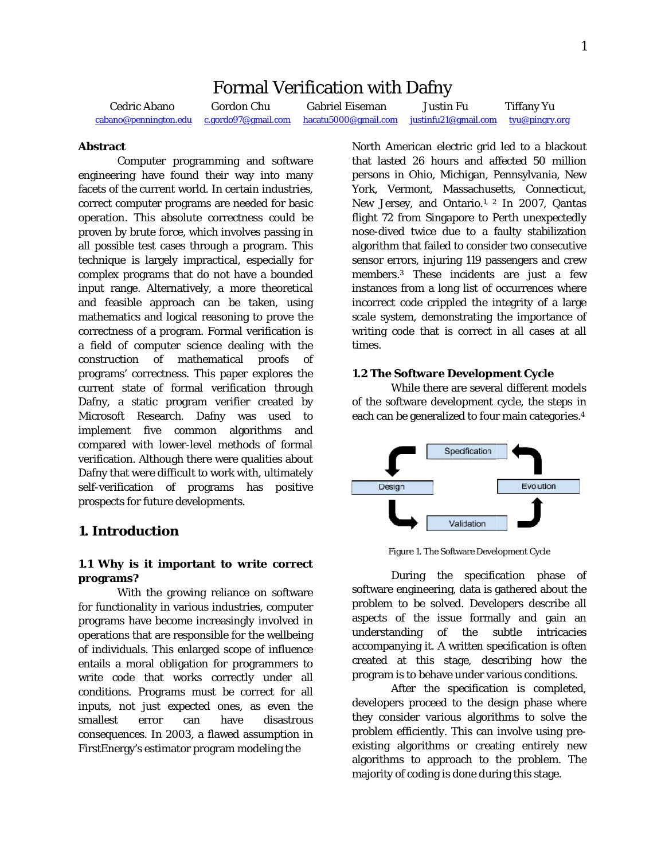# Formal Verification with Dafny

Cedric Abano Gordon Chu Gabriel Eiseman Justin Fu cabano@pennington.edu c.gordo97@gmail.com hacatu5000@gmail.com justinfu21@gmail.com Tiffany Yu tyu@pingry.org

#### **Abstract**

Computer programming and software engineering have found their way into many facets of the current world. In certain industries, correct computer programs are needed fo operation. This absolute correctness could be proven by brute force, which involves passing in all possible test cases through a program. This technique is largely impractical, especially for complex programs that do not have a bounded input range. Alternatively, a more theoretical and feasible approach can be taken, using mathematics and logical reasoning to prove the correctness of a program. Formal verification is a field of computer science dealing with the construction of mathematical proofs of programs' correctness. This paper explores the current state of formal verification through Dafny, a static program verifier created by Microsoft Research. Dafny was used to implement five common algorithms and compared with lower-level methods of formal verification. Although there were qualities about Dafny that were difficult to work with, ultimately self-verification of programs has positive prospects for future developments. puter programming and software<br>have found their way into many<br>current world. In certain industries,<br>puter programs are needed for basic operation. This absolute correctness could be proven by brute force, which involves passing in all possible test cases through a program. This technique is largely impractical, especially for complex programs that do not h

# **1. Introduction**

**1.1 Why is it important to write correct important correct programs?**

With the growing reliance on software for functionality in various industries, computer programs have become increasingly involved in operations that are responsible for the wellbeing of individuals. This enlarged scope of influence entails a moral obligation for programmers to write code that works correctly under all conditions. Programs must be correct for all inputs, not just expected ones, as even the smallest error can have disastrous consequences. In 2003, a flawed assumption in FirstEnergy's estimator program model software in various industries, computer<br>in various industries, computer<br>ecome increasingly involved in<br>re responsible for the wellbeing<br>his enlarged scope of influence<br>obligation for programmers to<br>t works correctly under North American electric grid led to a blackout that lasted 26 hours and affected 50 million persons in Ohio, Michigan, Pennsylvania, New York, Vermont, Massachusetts, Connecticut, that lasted 26 hours and affected 50 million<br>persons in Ohio, Michigan, Pennsylvania, New<br>York, Vermont, Massachusetts, Connecticut,<br>New Jersey, and Ontario.<sup>1, 2</sup> In 2007, Qantas flight 72 from Singapore to Perth unexpectedly nose-dived twice due to a faulty stabilization algorithm that failed to consider two consecutive sensor errors, injuring 119 passengers and crew members.3 These incidents are just a few instances from a long list of occurrences where incorrect code crippled the integrity of a large scale system, demonstrating the importance of writing code that is correct in all cases at all times. 72 from Singapore to Perth unexpectedly<br>dived twice due to a faulty stabilization<br>thm that failed to consider two consecutive<br>r errors, injuring 119 passengers and crew<br>bers.<sup>3</sup> These incidents are just a few<br>nces from a

#### **1.2 The Software Development Cycle**

While there are several different models of the software development cycle, the steps in While there are several different models<br>of the software development cycle, the steps in<br>each can be generalized to four main categories.<sup>4</sup>



Figure 1. The Software Development Cycle

During the specification phase of software engineering, data is gathered about the problem to be solved. Developers describe all aspects of the issue formally and gain an understanding of the subtle intricacies accompanying it. A written specification is often created at this stage, describing how the program is to behave under various conditio Figure 1. The Software Development Cycle<br>During the specification phase of<br>software engineering, data is gathered about the<br>problem to be solved. Developers describe all<br>aspects of the issue formally and gain an<br>understand

After the specification is completed, developers proceed to the design phase where they consider various algorithms to solve the problem efficiently. This can involve using pre existing algorithms or creating entirely new existing algorithms or creating entirely new<br>algorithms to approach to the problem. The majority of coding is done during this stage. After the specification is completed,<br>developers proceed to the design phase where<br>they consider various algorithms to solve the<br>problem efficiently. This can involve using pre-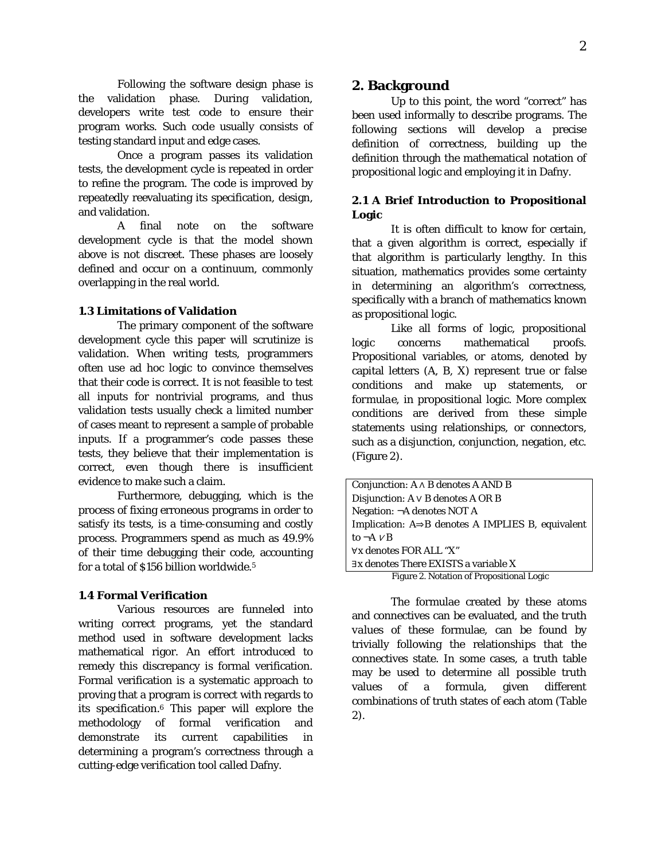Following the software design phase is the validation phase. During validation, developers write test code to ensure their program works. Such code usually consists of testing standard input and edge cases.

Once a program passes its validation tests, the development cycle is repeated in order to refine the program. The code is improved by repeatedly reevaluating its specification, design, and validation.

A final note on the software development cycle is that the model shown above is not discreet. These phases are loosely defined and occur on a continuum, commonly overlapping in the real world.

### **1.3 Limitations of Validation**

The primary component of the software development cycle this paper will scrutinize is validation. When writing tests, programmers often use ad hoc logic to convince themselves that their code is correct. It is not feasible to test all inputs for nontrivial programs, and thus validation tests usually check a limited number of cases meant to represent a sample of probable inputs. If a programmer's code passes these tests, they believe that their implementation is correct, even though there is insufficient evidence to make such a claim.

Furthermore, debugging, which is the process of fixing erroneous programs in order to satisfy its tests, is a time-consuming and costly process. Programmers spend as much as 49.9% of their time debugging their code, accounting for a total of \$156 billion worldwide.5

### **1.4 Formal Verification**

Various resources are funneled into writing correct programs, yet the standard method used in software development lacks mathematical rigor. An effort introduced to remedy this discrepancy is formal verification. Formal verification is a systematic approach to proving that a program is correct with regards to its specification.6 This paper will explore the methodology of formal verification and demonstrate its current capabilities in determining a program's correctness through a cutting-edge verification tool called Dafny.

## **2. Background**

Up to this point, the word "correct" has been used informally to describe programs. The following sections will develop a precise definition of correctness, building up the definition through the mathematical notation of propositional logic and employing it in Dafny.

**2.1 A Brief Introduction to Propositional Logic**

It is often difficult to know for certain, that a given algorithm is correct, especially if that algorithm is particularly lengthy. In this situation, mathematics provides some certainty in determining an algorithm's correctness, specifically with a branch of mathematics known as propositional logic.

Like all forms of logic, propositional logic concerns mathematical proofs. Propositional variables, or *atoms*, denoted by capital letters (A, B, X) represent true or false conditions and make up statements, or *formulae,* in propositional logic. More complex conditions are derived from these simple statements using relationships, or *connectors*, such as a disjunction, conjunction, negation, etc. (Figure 2).

| Conjunction: $A \wedge B$ denotes A AND B                      |
|----------------------------------------------------------------|
| Disjunction: A V B denotes A OR B                              |
| Negation: $\neg A$ denotes NOT A                               |
| Implication: $A \Rightarrow B$ denotes A IMPLIES B, equivalent |
| to $\neg A \vee B$                                             |
| ∀x denotes FOR ALL "X"                                         |
| Ex denotes There EXISTS a variable X                           |
| Figure 2. Notation of Propositional Logic                      |

The formulae created by these atoms and connectives can be evaluated, and the *truth value*s of these formulae, can be found by trivially following the relationships that the connectives state. In some cases, a truth table may be used to determine all possible truth values of a formula, given different combinations of truth states of each atom (Table 2).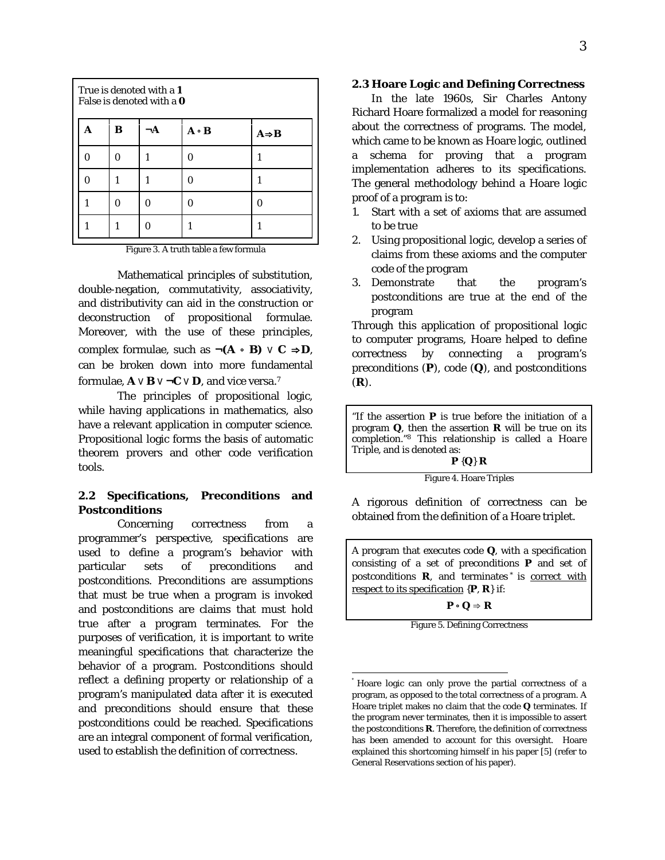| True is denoted with a 1<br>False is denoted with a O |   |  |       |                   |  |
|-------------------------------------------------------|---|--|-------|-------------------|--|
|                                                       | В |  | A • B | $A \Rightarrow B$ |  |
|                                                       |   |  |       |                   |  |
|                                                       |   |  |       |                   |  |

Figure 3. A truth table a few formula

1 0 0 0 0

1 1 0 1 1

Mathematical principles of substitution, double-negation, commutativity, associativity, and distributivity can aid in the construction or deconstruction of propositional formulae. Moreover, with the use of these principles, complex formulae, such as  $\neg$ (A  $\circ$  B)  $\vee$  C  $\Rightarrow$  D, can be broken down into more fundamental formulae, **A ∨ B ∨ ¬C ∨ D**, and vice versa.7

The principles of propositional logic, while having applications in mathematics, also have a relevant application in computer science. Propositional logic forms the basis of automatic theorem provers and other code verification tools.

**2.2 Specifications, Preconditions and Postconditions**

Concerning correctness from a programmer's perspective, specifications are used to define a program's behavior with particular sets of preconditions and postconditions. Preconditions are assumptions that must be true when a program is invoked and postconditions are claims that must hold true after a program terminates. For the purposes of verification, it is important to write meaningful specifications that characterize the behavior of a program. Postconditions should reflect a defining property or relationship of a program's manipulated data after it is executed and preconditions should ensure that these postconditions could be reached. Specifications are an integral component of formal verification, used to establish the definition of correctness.

**2.3 Hoare Logic and Defining Correctness**

In the late 1960s, Sir Charles Antony Richard Hoare formalized a model for reasoning about the correctness of programs. The model, which came to be known as Hoare logic, outlined a schema for proving that a program implementation adheres to its specifications. The general methodology behind a Hoare logic proof of a program is to:

- 1. Start with a set of axioms that are assumed to be true
- 2. Using propositional logic, develop a series of claims from these axioms and the computer code of the program
- 3. Demonstrate that the program's postconditions are true at the end of the program

Through this application of propositional logic to computer programs, Hoare helped to define correctness by connecting a program's preconditions (*P*), code (*Q*), and postconditions (*R*).

"If the assertion *P* is true before the initiation of a program *Q*, then the assertion *R* will be true on its completion."8 This relationship is called a *Hoare Triple*, and is denoted as:

*P* {*Q*} *R*

Figure 4. Hoare Triples

A rigorous definition of correctness can be obtained from the definition of a Hoare triplet.

A program that executes code *Q*, with a specification consisting of a set of preconditions *P* and set of postconditions *R*, and terminates \* is correct with respect to its specification {*P*, *R*} if:

*P* ∧ *Q* ⇒ *R*

Figure 5. Defining Correctness

Hoare logic can only prove the partial correctness of a program, as opposed to the total correctness of a program. A Hoare triplet makes no claim that the code *Q* terminates. If the program never terminates, then it is impossible to assert the postconditions *R*. Therefore, the definition of correctness has been amended to account for this oversight. Hoare explained this shortcoming himself in his paper [5] (refer to General Reservations section of his paper).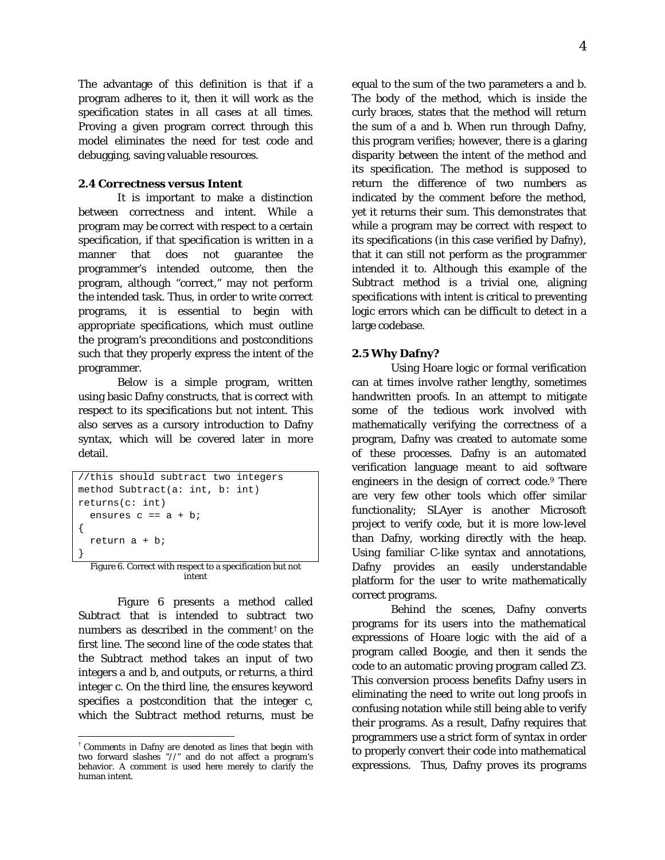The advantage of this definition is that if a program adheres to it, then it will work as the specification states *in all cases at all times*. Proving a given program correct through this model eliminates the need for test code and debugging, saving valuable resources.

## **2.4 Correctness versus Intent**

It is important to make a distinction between correctness and intent. While a program may be correct with respect to a certain specification, if that specification is written in a manner that does not guarantee the programmer's intended outcome, then the program, although "correct," may not perform the intended task. Thus, in order to write correct programs, it is essential to begin with appropriate specifications, which must outline the program's preconditions and postconditions such that they properly express the intent of the programmer.

Below is a simple program, written using basic Dafny constructs, that is correct with respect to its specifications but not intent. This also serves as a cursory introduction to Dafny syntax, which will be covered later in more detail.

```
//this should subtract two integers
method Subtract(a: int, b: int) 
returns(c: int)
  ensures c == a + bi{
   return a + b;
}
```
Figure 6. Correct with respect to a specification but not intent

Figure 6 presents a method called *Subtract* that is intended to subtract two numbers as described in the comment† on the first line. The second line of the code states that the *Subtract* method takes an input of two integers *a* and *b*, and outputs, or *returns*, a third integer *c*. On the third line, the *ensures* keyword specifies a postcondition that the integer *c*, which the *Subtract* method returns, must be

equal to the sum of the two parameters *a* and *b*. The body of the method, which is inside the curly braces, states that the method will return the sum of *a* and *b*. When run through Dafny, this program verifies; however, there is a glaring disparity between the intent of the method and its specification. The method is supposed to return the difference of two numbers as indicated by the comment before the method, yet it returns their sum. This demonstrates that while a program may be correct with respect to its specifications (in this case verified by Dafny), that it can still not perform as the programmer intended it to. Although this example of the *Subtract* method is a trivial one, aligning specifications with intent is critical to preventing logic errors which can be difficult to detect in a large codebase.

# **2.5 Why Dafny?**

Using Hoare logic or formal verification can at times involve rather lengthy, sometimes handwritten proofs. In an attempt to mitigate some of the tedious work involved with mathematically verifying the correctness of a program, Dafny was created to automate some of these processes. Dafny is an automated verification language meant to aid software engineers in the design of correct code.9 There are very few other tools which offer similar functionality; SLAyer is another Microsoft project to verify code, but it is more low-level than Dafny, working directly with the heap. Using familiar C-like syntax and annotations, Dafny provides an easily understandable platform for the user to write mathematically correct programs.

Behind the scenes, Dafny converts programs for its users into the mathematical expressions of Hoare logic with the aid of a program called Boogie, and then it sends the code to an automatic proving program called Z3. This conversion process benefits Dafny users in eliminating the need to write out long proofs in confusing notation while still being able to verify their programs. As a result, Dafny requires that programmers use a strict form of syntax in order to properly convert their code into mathematical expressions. Thus, Dafny proves its programs

<sup>†</sup> Comments in Dafny are denoted as lines that begin with two forward slashes "//" and do not affect a program's behavior. A comment is used here merely to clarify the human intent.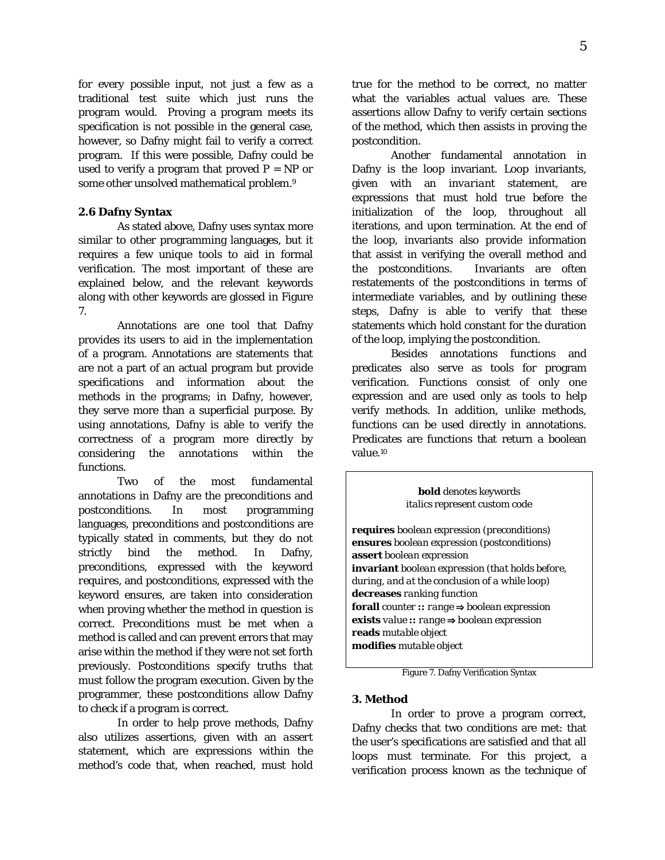5

for every possible input, not just a few as a traditional test suite which just runs the program would. Proving a program meets its specification is not possible in the general case, however, so Dafny might fail to verify a correct program. If this were possible, Dafny could be used to verify a program that proved  $P = NP$  or some other unsolved mathematical problem.9

# **2.6 Dafny Syntax**

As stated above, Dafny uses syntax more similar to other programming languages, but it requires a few unique tools to aid in formal verification. The most important of these are explained below, and the relevant keywords along with other keywords are glossed in Figure 7.

Annotations are one tool that Dafny provides its users to aid in the implementation of a program. Annotations are statements that are not a part of an actual program but provide specifications and information about the methods in the programs; in Dafny, however, they serve more than a superficial purpose. By using annotations, Dafny is able to verify the correctness of a program more directly by considering the *annotations* within the functions.

Two of the most fundamental annotations in Dafny are the preconditions and postconditions. In most programming languages, preconditions and postconditions are typically stated in comments, but they do not strictly bind the method. In Dafny, preconditions, expressed with the keyword *requires*, and postconditions, expressed with the keyword *ensures*, are taken into consideration when proving whether the method in question is correct. Preconditions must be met when a method is called and can prevent errors that may arise within the method if they were not set forth previously. Postconditions specify truths that must follow the program execution. Given by the programmer, these postconditions allow Dafny to check if a program is correct.

In order to help prove methods, Dafny also utilizes assertions, given with an *assert*  statement, which are expressions within the method's code that, when reached, must hold

true for the method to be correct, no matter what the variables actual values are. These assertions allow Dafny to verify certain sections of the method, which then assists in proving the postcondition.

Another fundamental annotation in Dafny is the loop invariant. Loop invariants, given with an *invariant* statement, are expressions that must hold true before the initialization of the loop, throughout all iterations, and upon termination. At the end of the loop, invariants also provide information that assist in verifying the overall method and the postconditions. Invariants are often restatements of the postconditions in terms of intermediate variables, and by outlining these steps, Dafny is able to verify that these statements which hold constant for the duration of the loop, implying the postcondition.

Besides annotations functions and predicates also serve as tools for program verification. Functions consist of only one expression and are used only as tools to help verify methods. In addition, unlike methods, functions can be used directly in annotations. Predicates are functions that return a boolean value.10

> **bold** denotes keywords *italics* represent custom code

**requires** *boolean expression (preconditions)* **ensures** *boolean expression* (*postconditions)* **assert** *boolean expression* **invariant** *boolean expression (that holds before, during, and at the conclusion of a while loop)* **decreases** *ranking function* **forall** *counter* **::** *range* ⇒ *boolean expression* **exists** *value* **::** *range* ⇒ *boolean expression* **reads** *mutable object* **modifies** *mutable object*

Figure 7. Dafny Verification Syntax

#### **3. Method**

In order to prove a program correct, Dafny checks that two conditions are met: that the user's specifications are satisfied and that all loops must terminate. For this project, a verification process known as the technique of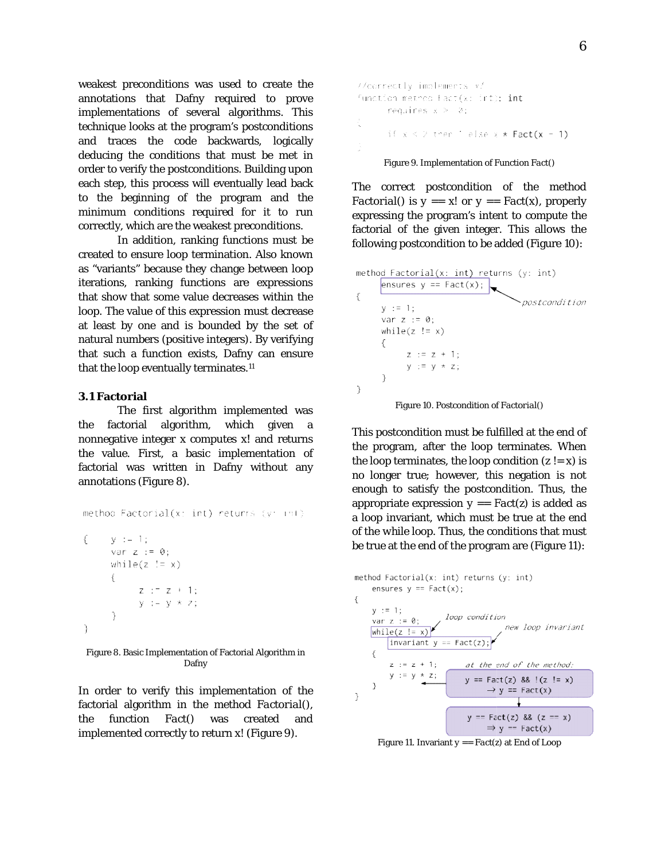weakest preconditions was used to create the annotations that Dafny required to prove implementations of several algorithms. This technique looks at the program's postconditions and traces the code backwards, logically deducing the conditions that must be met in order to verify the postconditions. Building upon each step, this process will eventually lead back to the beginning of the program and the minimum conditions required for it to run correctly, which are the weakest preconditions. weakest preconditions was used to create the annotations that Dafny required to prove implementations of several algorithms. This technique looks at the program's postconditions and traces the code backwards, logically ded

In addition, ranking functions must be created to ensure loop termination. Also known as "variants" because they change between loop iterations, ranking functions are expressions that show that some value decreases within the loop. The value of this expression must decrease at least by one and is bounded by the set of natural numbers (positive integers). By veri that such a function exists, Dafny can ensure that the loop eventually terminates.<sup>11</sup>

### **3.1 Factorial**

The first algorithm implemented was that such a function exists, Dafny can ensure<br>that the loop eventually terminates.<sup>11</sup><br>3.1 Factorial<br>The first algorithm implemented was<br>the factorial algorithm, which given a nonnegative integer *x* computes *x!* and returns the value. First, a basic implementation of factorial was written in Dafny without any annotations (Figure 8).

st, a basic implementation<br>written in Dafny without a<br>gure 8).<br> $ial(x: int)$  returns  $(y: 121$ <br> $\vdots$   $\theta$ ;<br> $! = x$ )<br> $! = x$ <br> $- y * z$ ;<br>nplementation of Factorial Algorithm<br>Dafny<br>rify this implementation of €  $y := 1$ ; €  $\mathcal{F}$ 

```
Y
```
Figure 8. Basic Implementation of Factorial Algorithm in Dafny

In order to verify this implementation of the factorial algorithm in the method *Factorial()*, the function *Fact()* was created and implemented correctly to return *x!* (Figure 9).

```
//correctly_implements_x/
function method Fact(x: int): int
      requires x > -2:
     if x \le 2 then i else x * Fact(x - 1)
```
Figure 9. Implementation of Function Fact()

The correct postcondition of the method Factorial() is  $y == x!$  or  $y ==$  Fact(x), properly expressing the program's intent to compute the factorial of the given integer. This allows the following postcondition to be added (Figure 10): expressing the program's intent to compute the<br>factorial of the given integer. This allows the<br>following postcondition to be added (Figure 10):

|   | method Factorial(x: int) returns (y: int) |                |
|---|-------------------------------------------|----------------|
|   | ensures $y ==$ Fact(x);                   |                |
| ł | $V := 1$ ;                                | postcondition. |
|   | var $z := 0$ ;<br>while(z $!= x$ )        |                |
|   |                                           |                |
|   | $z := z + 1$ ;<br>$y := y \times z$ ;     |                |
|   |                                           |                |
|   |                                           |                |

Figure 10. Postcondition of *Factorial()*

This postcondition must be fulfilled at the end of the program, after the loop terminates. When This postcondition must be fulfilled at the end of<br>the program, after the loop terminates. When<br>the loop terminates, the loop condition (z != x) is no longer true; however, this negation is not no longer true; however, this negation is not enough to satisfy the postcondition. Thus, the appropriate expression *y == Fact(z) Fact(z)* is added as a loop invariant, which must be true at the end a loop invariant, which must be true at the end<br>of the while loop. Thus, the conditions that must be true at the end of the program are (Figure 11):



Figure 11. Invariant  $y == Fact(z)$  at End of Loop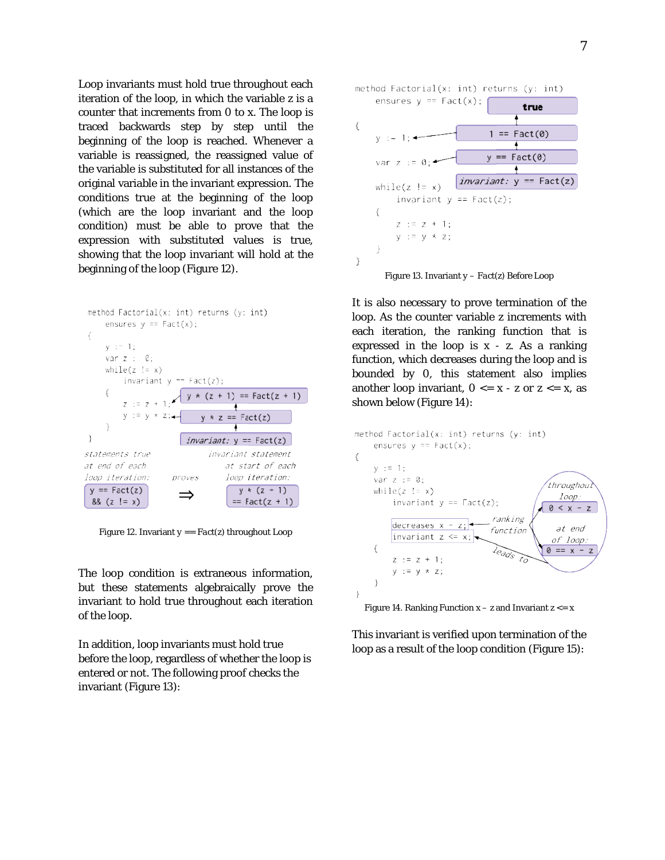Loop invariants must hold true throughout each Loop invariants must hold true throughout each<br>iteration of the loop, in which the variable z is a counter that increments from *0* to *x* . The loop is traced backwards step by step until the beginning of the loop is reached. Whenever a variable is reassigned, the reassigned value of the variable is substituted for all instances of the original variable in the invariant expression. The conditions true at the beginning of the loop (which are the loop invariant and the loop condition) must be able to prove that the expression with substituted values is true, showing that the loop invariant will hold at the beginning of the loop (Figure 12).



Figure 12. Invariant *y == Fact(z)* throughout Loop

The loop condition is extraneous information, but these statements algebraically prove the invariant to hold true throughout each iteration of the loop.

In addition, loop invariants must hold true before the loop, regardless of whether the loop is entered or not. The following proof checks the invariant (Figure 13):





Figure 13. Invariant  $y - Fact(z)$  Before Loop

It is also necessary to prove termination of the It is also necessary to prove termination of the<br>loop. As the counter variable *z* increments with each iteration, the ranking function that is expressed in the loop is *x - z*. As a ranking function, which decreases during the loop and is bounded by 0, this statement also implies another loop invariant,  $0 \le x - z$  or  $z \le x$ , as shown below (Figure 14):



Figure 14. Ranking Function **x** – **z** and Invariant **z** <= **x** 

This invariant is verified upon termination of the loop as a result of the loop condition (Figure 15):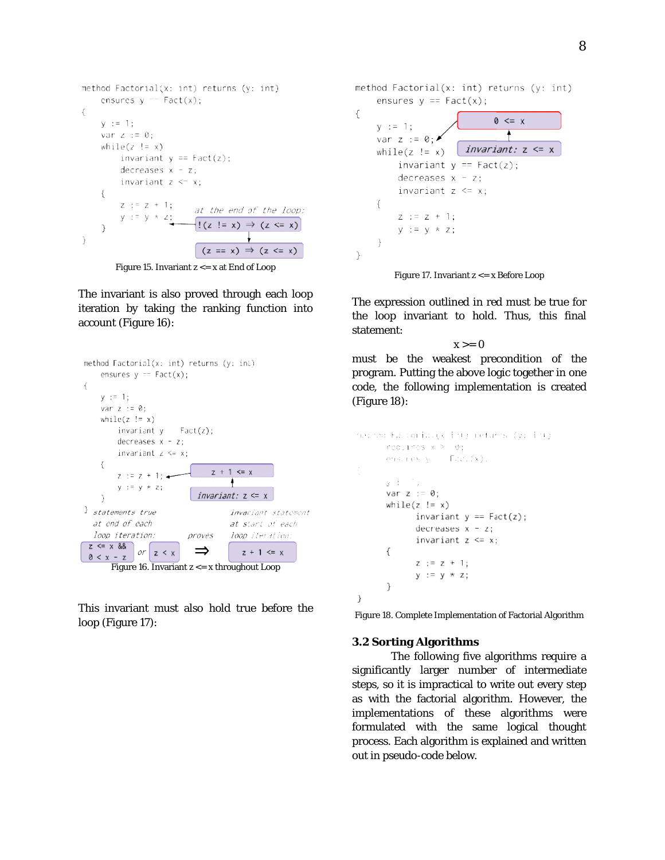```
method Factorial(x: int) returns (y: int)
    ensures y =Fact(x);
\left\{ \right.V := 1:
    var z := 0;
    while(z != x)
         invariant y == \text{Fact}(z);
         decreases x - z;
         invariant z \leq x;\{z := z + 1;at the end of the loop:
         y := y * z;!(z := x) \Rightarrow (z \le x)}
<sup>1</sup>
                             (z == x) \Rightarrow (z \le x)
```
Figure 15. Invariant *z <= x* at End of Loop

The invariant is also proved through each loop iteration by taking the ranking function into account (Figure 16):



This invariant must also hold true before the loop (Figure 17):

method Factorial(x: int) returns (y: int) ensures  $y ==$  Fact(x);

 $\{$  $0 \le x$  $y := 1;$  $\ddagger$ var z :=  $0; \times$  $\int$  *invariant:*  $z \leq x$ while( $z$  !=  $x$ ) invariant  $y == Fact(z)$ ; decreases  $x - z$ ; invariant  $z \leq x$ ;  $\{$  $z := z + 1;$  $y := y * z$ ; f.  $\}$ 

Figure 17. Invariant  $z \leq x$  Before Loop

The expression outlined in red must be true for the loop invariant to hold. Thus, this final statement:

*x >= 0*

must be the weakest precondition of the program. Putting the above logic together in one code, the following implementation is created (Figure 18):

```
The expression outlined in red must be true for<br>the loop invariant to hold. Thus, this final<br>statement:<br>x>=0<br>must be the weakest precondition of the<br>program. Putting the above logic together in one<br>code, the following im
```
Figure 18. Complete Implementation of Factorial Algorithm

#### **3.2 Sorting Algorithms**

The following five algorithms require a significantly larger number of intermediate steps, so it is impractical to write out every step as with the factorial algorithm. However, the implementations of these algorithms were implementations of these algorithms were<br>formulated with the same logical thought process. Each algorithm is explained and written out in pseudo-code below.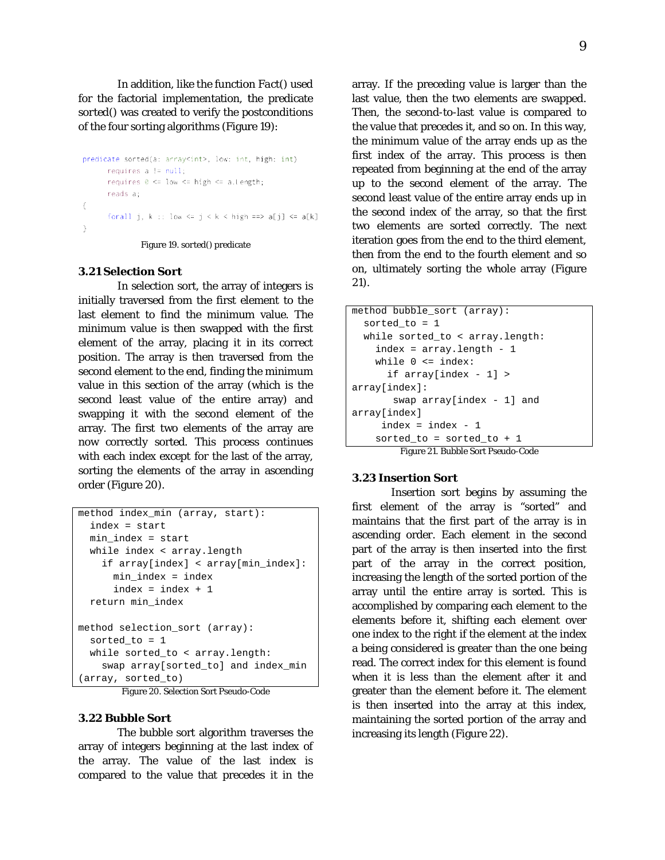In addition, like the function *Fact()* used for the factorial implementation, the predicate *sorted()* was created to verify the postconditions of the four sorting algorithms (Figure 19) the factorial implementation, the pr<br>ed() was created to verify the postcon<br>ne four sorting algorithms (Figure 19):

Figure 19. *sorted()* predicate

#### **3.21 Selection Sort**

In selection sort, the array of integers is initially traversed from the first element to the last element to find the minimum value. The minimum value is then swapped with the first element of the array, placing it in its correct position. The array is then traversed from the second element to the end, finding the minimum value in this section of the array (which is second least value of the entire array) and swapping it with the second element of the array. The first two elements of the array are now correctly sorted. This process continues with each index except for the last of the array, sorting the elements of the array in ascending order (Figure 20). In selection sort, the array of integers is<br>traversed from the first element to the<br>nent to find the minimum value. The<br>m value is then swapped with the first<br>of the array, placing it in its correct<br>. The array is then tra least value of the entire a<br>g it with the second eleme<br>he first two elements of the<br>rectly sorted. This process<br>h index except for the last of<br>the elements of the array in

```
method index_min (array, start):
   index = start
   min_index = start
   while index < array.length
 if array[index] < array[min_index]:
array[min_index]: min_index = index
      index = index + 1 return min_index
method selection_sort (array):
   sorted_to = 1
   while sorted_to < array.length:
    swap array[sorted to] and index min
(array, sorted_to)
```
Figure 20. Selection Sort Pseudo-Code

### **3.22 Bubble Sort**

The bubble sort algorithm traverses the array of integers beginning at the last index of the array. The value of the last index is compared to the value that precedes it in the last value, then the two elements are swapped. array. If the preceding value is larger than the<br>last value, then the two elements are swapped.<br>Then, the second-to-last value is compared to the value that precedes it, and so on. In this way, the minimum value of the array ends up as the first index of the array. This process is then repeated from beginning at the end of the array up to the second element of the array second least value of the entire array ends up in the second index of the array, so that the first second least value of the entire array ends up in<br>the second index of the array, so that the first<br>two elements are sorted correctly. The next iteration goes from the end to the third element, then from the end to the fourth element and so on, ultimately sorting the whole array (Figure 21). the value that precedes it, and so on. In this way,<br>the minimum value of the array ends up as the<br>first index of the array. This process is then<br>repeated from beginning at the end of the array<br>up to the second element of t

```
method bubble_sort (array):
   sorted_to = 1
 while sorted_to < array.length:
     index = array.length - 1while 0 \leq \text{index}:
         if array[index - 1] > 
array[index]:
 swap array[index -
 1] and 
array[index]
      index = index - 1sorted_to = sorted_to + 1
           Figure 21. Bubble Sort Pseudo
Figure 21. Bubble Pseudo-Code
         bubble_sort (array):<br>d_to = 1<br>sorted_to < array.le<br>ex = array.length - 1
```
#### **3.23 Insertion Sort**

In addition, like the function Fact) when the burstin in the second burstin array. If the preceding value is larger than the method was certained by the preceding value is larger than the second burstin in the second valu Insertion sort begins by assuming the first element of the array is "sorted" and maintains that the first part of the array is in ascending order. Each element in the second part of the array is then inserted into the first part of the array in the correct position, increasing the length of the sorted portion of the array until the entire array is sorted. This is accomplished by comparing each elem elements before it, shifting each element over one index to the right if the element at the index a being considered is greater than the one being read. The correct index for this element is found when it is less than the element after it and greater than the element before it. The element is then inserted into the array at this index, maintaining the sorted portion of the array and increasing its length (Figure 22) Insertion sort begins by assuming the<br>first element of the array is "sorted" and<br>maintains that the first part of the array is in<br>ascending order. Each element in the second<br>part of the array is then inserted into the firs one index to the right if the element at the index<br>a being considered is greater than the one being<br>read. The correct index for this element is found<br>when it is less than the element after it and<br>greater than the element b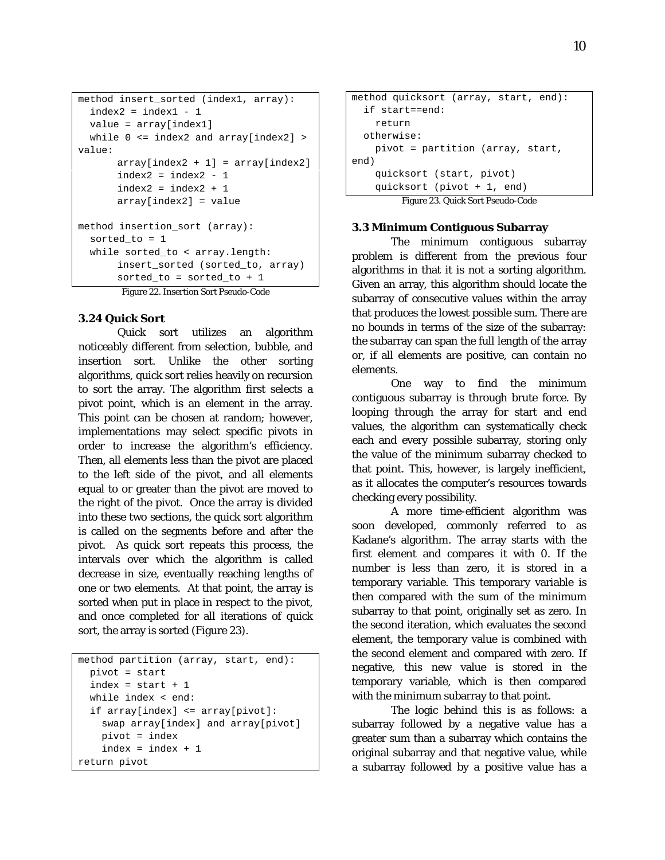```
method insert_sorted (index1, array):
  index2 = index1 - 1 value = array[index1]
   while 0 <= index2 and array[index2] > 
value:
      array[index2 + 1] = array[index2]index2 = index2 - 1index2 = index2 + 1array[index2] = value
method insertion_sort (array):
   sorted_to = 1
   while sorted_to < array.length:
      insert_sorted (sorted_to, array)
       sorted_to = sorted_to + 1
```
Figure 22. Insertion Sort Pseudo-Code

### **3.24 Quick Sort**

Quick sort utilizes an algorithm noticeably different from selection, bubble, and insertion sort. Unlike the other sorting algorithms, quick sort relies heavily on recursion to sort the array. The algorithm first selects a pivot point, which is an element in the array. This point can be chosen at random; however, implementations may select specific pivots in order to increase the algorithm's efficiency. Then, all elements less than the pivot are placed to the left side of the pivot, and all elements equal to or greater than the pivot are moved to the right of the pivot. Once the array is divided into these two sections, the quick sort algorithm is called on the segments before and after the pivot. As quick sort repeats this process, the intervals over which the algorithm is called decrease in size, eventually reaching lengths of one or two elements. At that point, the array is sorted when put in place in respect to the pivot, and once completed for all iterations of quick sort, the array is sorted (Figure 23).

```
method partition (array, start, end):
   pivot = start
  index = start + 1 while index < end:
   if array[index] <= array[pivot]:
     swap array[index] and array[pivot]
    pivot = index
    index = index + 1return pivot
```

```
method quicksort (array, start, end):
   if start==end:
     return
   otherwise:
     pivot = partition (array, start, 
end)
     quicksort (start, pivot)
     quicksort (pivot + 1, end)
         Figure 23. Quick Sort Pseudo-Code
```
# **3.3 Minimum Contiguous Subarray**

The minimum contiguous subarray problem is different from the previous four algorithms in that it is not a sorting algorithm. Given an array, this algorithm should locate the subarray of consecutive values within the array that produces the lowest possible sum. There are no bounds in terms of the size of the subarray: the subarray can span the full length of the array or, if all elements are positive, can contain no elements.

One way to find the minimum contiguous subarray is through brute force. By looping through the array for start and end values, the algorithm can systematically check each and every possible subarray, storing only the value of the minimum subarray checked to that point. This, however, is largely inefficient, as it allocates the computer's resources towards checking every possibility.

A more time-efficient algorithm was soon developed, commonly referred to as Kadane's algorithm. The array starts with the first element and compares it with 0. If the number is less than zero, it is stored in a temporary variable. This temporary variable is then compared with the sum of the minimum subarray to that point, originally set as zero. In the second iteration, which evaluates the second element, the temporary value is combined with the second element and compared with zero. If negative, this new value is stored in the temporary variable, which is then compared with the minimum subarray to that point.

The logic behind this is as follows: a subarray followed by a negative value has a greater sum than a subarray which contains the original subarray and that negative value, while a subarray followed by a positive value has a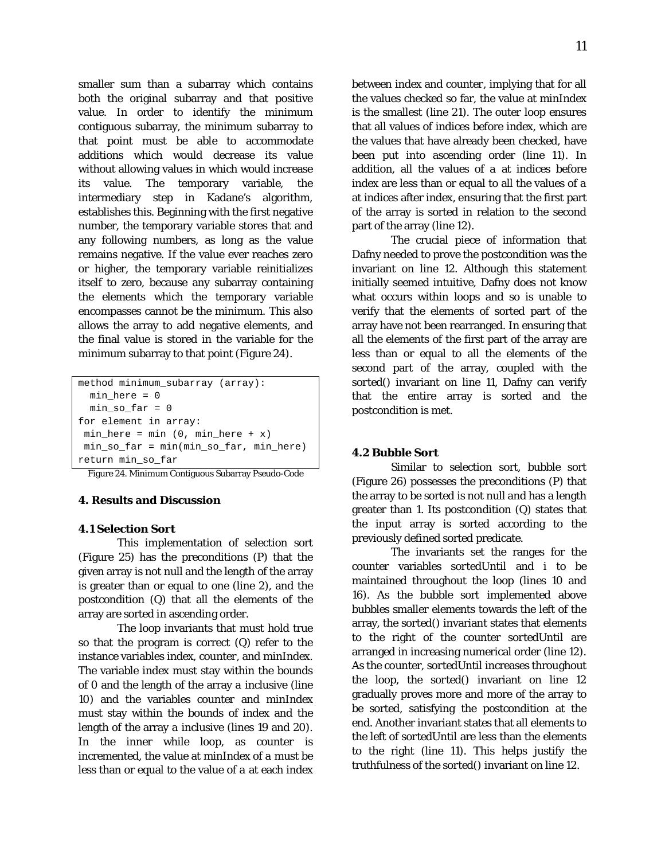smaller sum than a subarray which contains both the original subarray and that positive value. In order to identify the minimum contiguous subarray, the minimum subarray to that point must be able to accommodate additions which would decrease its value without allowing values in which would increase its value. The temporary variable, the intermediary step in Kadane's algorithm, establishes this. Beginning with the first negative number, the temporary variable stores that and any following numbers, as long as the value remains negative. If the value ever reaches zero or higher, the temporary variable reinitializes itself to zero, because any subarray containing the elements which the temporary variable encompasses cannot be the minimum. This also allows the array to add negative elements, and the final value is stored in the variable for the minimum subarray to that point (Figure 24).

```
method minimum_subarray (array):
 min here = 0
 min so far = 0for element in array:
min\_here = min (0, min\_here + x)min_so_far = min(min_so_far, min_here)
return min_so_far
```
Figure 24. Minimum Contiguous Subarray Pseudo-Code

### **4. Results and Discussion**

#### **4.1 Selection Sort**

This implementation of selection sort (Figure 25) has the preconditions (*P)* that the given array is not null and the length of the array is greater than or equal to one (line 2), and the postcondition *(Q)* that all the elements of the array are sorted in ascending order.

The loop invariants that must hold true so that the program is correct (*Q*) refer to the instance variables *index, counter,* and *minIndex*. The variable *index* must stay within the bounds of 0 and the length of the array *a* inclusive (line 10) and the variables *counter* and *minIndex* must stay within the bounds of *index* and the length of the array *a* inclusive (lines 19 and 20). In the inner while loop, as *counter* is incremented, the value at *minIndex* of *a* must be less than or equal to the value of *a* at each index between *index* and *counter*, implying that for all the values checked so far, the value at *minIndex* is the smallest (line 21). The outer loop ensures that all values of indices before *index*, which are the values that have already been checked, have been put into ascending order (line 11). In addition, all the values of *a* at indices before *index* are less than or equal to all the values of *a* at indices after *index*, ensuring that the first part of the array is sorted in relation to the second part of the array (line 12).

The crucial piece of information that Dafny needed to prove the postcondition was the invariant on line 12. Although this statement initially seemed intuitive, Dafny does not know what occurs within loops and so is unable to verify that the elements of sorted part of the array have not been rearranged. In ensuring that all the elements of the first part of the array are less than or equal to all the elements of the second part of the array, coupled with the *sorted()* invariant on line 11, Dafny can verify that the entire array is sorted and the postcondition is met.

#### **4.2 Bubble Sort**

Similar to selection sort, bubble sort (Figure 26) possesses the preconditions *(P)* that the array to be sorted is not null and has a length greater than 1. Its postcondition *(Q)* states that the input array is sorted according to the previously defined sorted predicate.

The invariants set the ranges for the counter variables *sortedUntil* and *i* to be maintained throughout the loop (lines 10 and 16). As the bubble sort implemented above bubbles smaller elements towards the left of the array, the *sorted()* invariant states that elements to the right of the counter *sortedUntil* are arranged in increasing numerical order (line 12). As the counter, *sortedUntil* increases throughout the loop, the *sorted()* invariant on line 12 gradually proves more and more of the array to be sorted, satisfying the postcondition at the end. Another invariant states that all elements to the left of *sortedUntil* are less than the elements to the right (line 11). This helps justify the truthfulness of the *sorted()* invariant on line 12.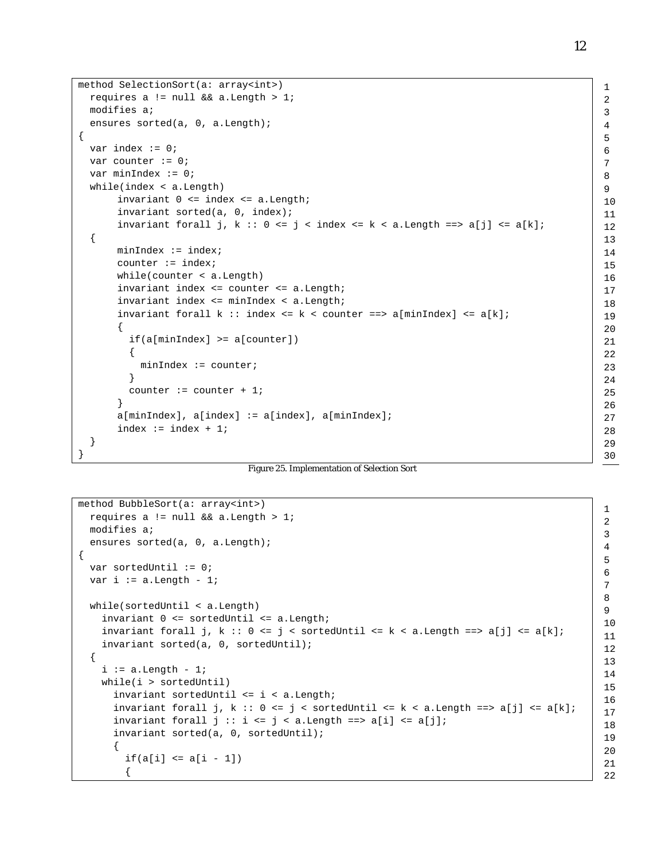```
method SelectionSort(a: array<int>)
  requires a != null && a.Length > 1;
  modifies a;
  ensures sorted(a, 0, a.Length);
{
   var index := 0;
   var counter := 0;
   var minIndex := 0;
   while(index < a.Length) 
        invariant 0 <= index <= a.Length;
        invariant sorted(a, 0, index);
      invariant forall j, k :: 0 \le j \le index \le k \le a. Length ==> a[j] \le a[k];
   {
      minIndex := index;
       counter := index;
      while(counter < a.Length) 
       invariant index <= counter <= a.Length;
        invariant index <= minIndex < a.Length;
       invariant forall k :: index <= k < counter ==> a[minIndex] <= a[k];
       \left\{ \right. if(a[minIndex] >= a[counter])
          {
            minIndex := counter;
 }
          counter := counter + 1;
       }
       a[minIndex], a[index] := a[index], a[minIndex];
       index := index + 1; }
}
```

| Figure 25. Implementation of Selection Sort |  |  |  |  |  |
|---------------------------------------------|--|--|--|--|--|
|                                             |  |  |  |  |  |

```
method BubbleSort(a: array<int>)
  requires a != null && a.Length > 1;
   modifies a;
   ensures sorted(a, 0, a.Length);
{
   var sortedUntil := 0;
  var i := a. Length - 1;
   while(sortedUntil < a.Length)
     invariant 0 <= sortedUntil <= a.Length;
    invariant forall j, k :: 0 \le j \le sortedUntil \le k \le a. Length ==> a[j] \le a[k];
     invariant sorted(a, 0, sortedUntil);
 {
    i := a.Length - 1; while(i > sortedUntil)
       invariant sortedUntil <= i < a.Length;
      invariant forall j, k :: 0 \le j \le 1 sortedUntil \le k \le a. Length ==> a[j] \le a[k];
      invariant forall j :: i \le j \le a. Length ==> a[i] <= a[j];
       invariant sorted(a, 0, sortedUntil);
       {
        if(a[i] < = a[i - 1]) {
                                                                                                 1
                                                                                                 2
                                                                                                 3
                                                                                                 4
                                                                                                 5
                                                                                                 6
                                                                                                 7
                                                                                                 8
                                                                                                 9
                                                                                                 10
                                                                                                 11
                                                                                                 12
                                                                                                 13
                                                                                                 14
                                                                                                 15
                                                                                                 16
                                                                                                 17
                                                                                                 18
                                                                                                 19
                                                                                                 20
                                                                                                 21
                                                                                                 22
```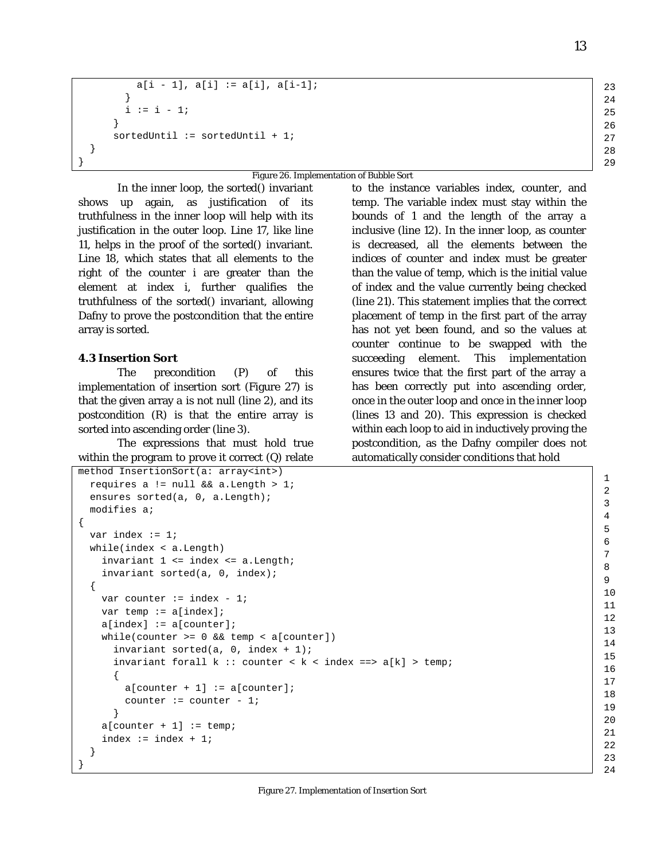```
a[i - 1], a[i] := a[i], a[i-1]; }
       i := i - 1; }
     sortedUntil := sortedUntil + 1;
  }
```


In the inner loop, the *sorted()* invariant shows up again, as justification of its truthfulness in the inner loop will help with its justification in the outer loop. Line 17, like line 11, helps in the proof of the *sorted()* invariant. Line 18, which states that all elements to the right of the counter *i* are greater than the element at index *i,* further qualifies the truthfulness of the *sorted()* invariant, allowing Dafny to prove the postcondition that the entire array is sorted.

### **4.3 Insertion Sort**

}

}

The precondition (*P)* of this implementation of insertion sort (Figure 27) is that the given array *a* is not null (line 2), and its postcondition *(R)* is that the entire array is sorted into ascending order (line 3).

The expressions that must hold true within the program to prove it correct *(Q)* relate

```
method InsertionSort(a: array<int>)
   requires a != null && a.Length > 1;
   ensures sorted(a, 0, a.Length);
   modifies a;
{
  var index := 1; while(index < a.Length)
     invariant 1 <= index <= a.Length;
     invariant sorted(a, 0, index);
   {
    var counter := index - 1;
    var temp := a[index];
    a[index] := a[counter];while(counter >= 0 & temp < a[counter])
      invariant sorted(a, 0, index + 1);
      invariant forall k :: counter < k < index ==> a[k] > temp;
\{a[counter + 1] := a[counter]; counter := counter - 1;
       }
    a[counter + 1] := temp;index := index +1;
   }
```
to the instance variables *index*, *counter,* and *temp*. The variable *index* must stay within the bounds of 1 and the length of the array *a* inclusive (line 12). In the inner loop, as *counter* is decreased, all the elements between the indices of *counter* and *index* must be greater than the value of *temp*, which is the initial value of *index* and the value currently being checked (line 21). This statement implies that the correct placement of *temp* in the first part of the array has not yet been found, and so the values at *counter* continue to be swapped with the succeeding element. This implementation ensures twice that the first part of the array *a* has been correctly put into ascending order, once in the outer loop and once in the inner loop (lines 13 and 20). This expression is checked within each loop to aid in inductively proving the postcondition, as the Dafny compiler does not automatically consider conditions that hold

23 24 25

24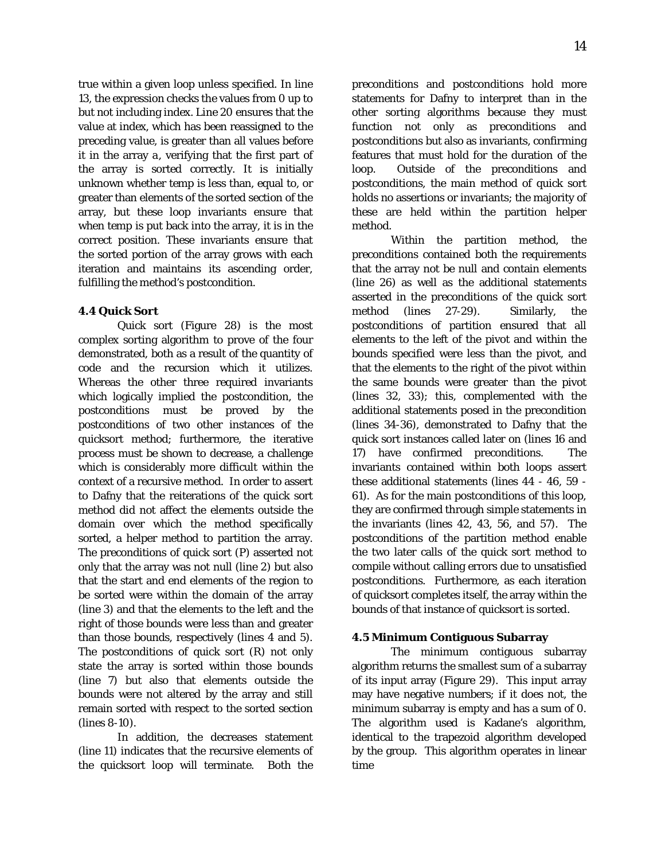true within a given loop unless specified. In line 13, the expression checks the values from 0 up to but not including *index*. Line 20 ensures that the value at *index*, which has been reassigned to the preceding value, is greater than all values before it in the array *a*, verifying that the first part of the array is sorted correctly. It is initially unknown whether *temp* is less than, equal to, or greater than elements of the sorted section of the array, but these loop invariants ensure that when *temp* is put back into the array, it is in the correct position. These invariants ensure that the sorted portion of the array grows with each iteration and maintains its ascending order, fulfilling the method's postcondition.

# **4.4 Quick Sort**

Quick sort (Figure 28) is the most complex sorting algorithm to prove of the four demonstrated, both as a result of the quantity of code and the recursion which it utilizes. Whereas the other three required invariants which logically implied the postcondition, the postconditions must be proved by the postconditions of two other instances of the quicksort method; furthermore, the iterative process must be shown to decrease, a challenge which is considerably more difficult within the context of a recursive method. In order to assert to Dafny that the reiterations of the quick sort method did not affect the elements outside the domain over which the method specifically sorted, a helper method to partition the array. The preconditions of quick sort (P) asserted not only that the array was not null (line 2) but also that the start and end elements of the region to be sorted were within the domain of the array (line 3) and that the elements to the left and the right of those bounds were less than and greater than those bounds, respectively (lines 4 and 5). The postconditions of quick sort (R) not only state the array is sorted within those bounds (line 7) but also that elements outside the bounds were not altered by the array and still remain sorted with respect to the sorted section (lines 8-10).

In addition, the decreases statement (line 11) indicates that the recursive elements of the quicksort loop will terminate. Both the

preconditions and postconditions hold more statements for Dafny to interpret than in the other sorting algorithms because they must function not only as preconditions and postconditions but also as invariants, confirming features that must hold for the duration of the loop. Outside of the preconditions and postconditions, the main method of quick sort holds no assertions or invariants; the majority of these are held within the partition helper method.

Within the partition method, the preconditions contained both the requirements that the array not be null and contain elements (line 26) as well as the additional statements asserted in the preconditions of the quick sort method (lines 27-29). Similarly, the postconditions of partition ensured that all elements to the left of the pivot and within the bounds specified were less than the pivot, and that the elements to the right of the pivot within the same bounds were greater than the pivot (lines 32, 33); this, complemented with the additional statements posed in the precondition (lines 34-36), demonstrated to Dafny that the quick sort instances called later on (lines 16 and 17) have confirmed preconditions. The invariants contained within both loops assert these additional statements (lines 44 - 46, 59 - 61). As for the main postconditions of this loop, they are confirmed through simple statements in the invariants (lines 42, 43, 56, and 57). The postconditions of the partition method enable the two later calls of the quick sort method to compile without calling errors due to unsatisfied postconditions. Furthermore, as each iteration of quicksort completes itself, the array within the bounds of that instance of quicksort is sorted.

# **4.5 Minimum Contiguous Subarray**

The minimum contiguous subarray algorithm returns the smallest sum of a subarray of its input array (Figure 29). This input array may have negative numbers; if it does not, the minimum subarray is empty and has a sum of 0. The algorithm used is Kadane's algorithm, identical to the trapezoid algorithm developed by the group. This algorithm operates in linear time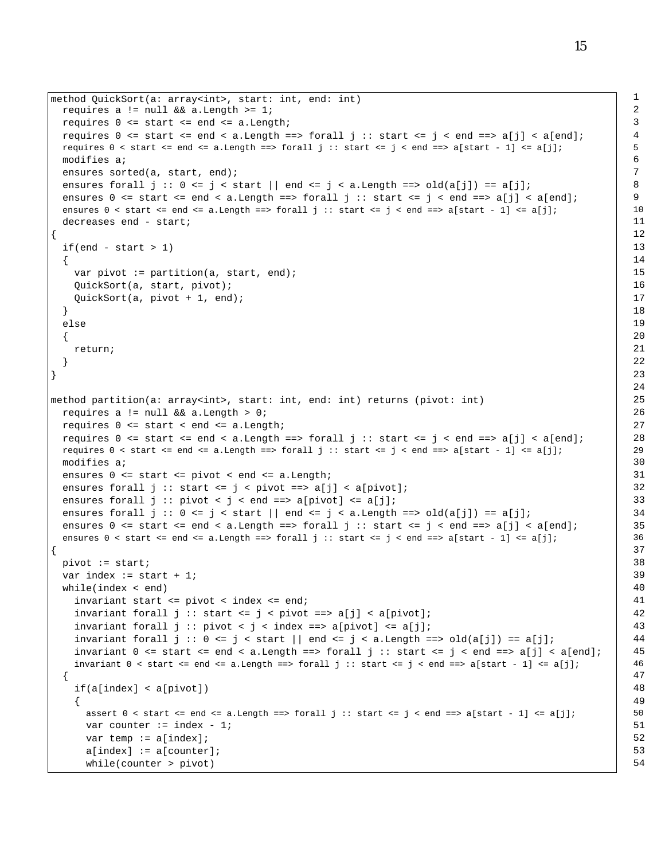```
method QuickSort(a: array<int>, start: int, end: int)
   requires a != null && a.Length >= 1;
   requires 0 <= start <= end <= a.Length;
  requires 0 \leq start \leq end \leq a. Length ==> forall j :: start \leq j \leq end ==> a[j] \leq a[end];
  requires 0 < start \le end \le a. Length ==> forall j :: start \le j \le end ==> a[start - 1] \le a[j];
   modifies a;
   ensures sorted(a, start, end);
  ensures forall j :: 0 \le j \le start \mid \mid end \le j \le a.length == y old(a[j]) == a[j];ensures 0 \leq start \leq end \leq a. Length ==> forall j :: start \leq j \leq end ==> a[j] \leq a[end];
  ensures 0 < start \le end \le a. Length ==> forall j :: start \le j \le end ==> a[start - 1] \le a[j];
   decreases end - start;
{
  if(end - start > 1)
   {
    var pivot := partition(a, start, end);
     QuickSort(a, start, pivot);
     QuickSort(a, pivot + 1, end);
   }
   else
   {
     return;
   }
}
method partition(a: array<int>, start: int, end: int) returns (pivot: int)
  requires a != null && a.Length > 0;
  requires 0 <= start < end <= a.Length;
 requires 0 \leq start \leq end \leq a. Length ==> forall j :: start \leq j \leq end ==> a[j] \leq a[end];
 requires 0 < start \le end \le a. Length ==> forall j :: start \le j \le end ==> a[start - 1] \le a[j];
   modifies a;
   ensures 0 <= start <= pivot < end <= a.Length;
   ensures forall j :: start <= j < pivot ==> a[j] < a[pivot];
  ensures forall j :: pivot < j < end ==> a[pivot] <= a[j];
  ensures forall j :: 0 \le j \le start \mid \mid end \le j \le a.length == > old(a[j]) == a[j];ensures 0 \leq start \leq end \leq a. Length ==> forall j :: start \leq j \leq end ==> a[j] \leq a[end];
  ensures 0 < start \le end \le a. Length ==> forall j :: start \le j \le end ==> a[start - 1] \le a[j];
{
 pivot := start;var index := start + 1;
   while(index < end)
     invariant start <= pivot < index <= end;
     invariant forall j :: start <= j < pivot ==> a[j] < a[pivot];
     invariant forall j :: pivot < j < index ==> a[pivot] <= a[j];
    invariant forall j :: 0 \le j \le start \mid \mid end \le j \le a.length ==> old(ai[j]) == a[j];invariant 0 \leq start \leq end \leq a. Length ==> forall j :: start \leq j \leq end ==> a[j] \leq a[end];
    invariant 0 < start <= end <= a.Length ==> forall j :: start <= j < end ==> a[start - 1] <= a[j];
   {
     if(a[index] < a[pivot])
\left\{\begin{array}{ccc} \end{array}\right\}assert 0 < start \le end \le a. Length ==> forall j :: start \le j \le end ==> a[start - 1] \le a[j];
      var counter := index - 1;
      var temp := a[index];
      a[index] := a[counter]; while(counter > pivot)
                                                                                                                  1
                                                                                                                  2
                                                                                                                  3
                                                                                                                  4
                                                                                                                  5
                                                                                                                  6
                                                                                                                  7
                                                                                                                  8
                                                                                                                  9
                                                                                                                  10
                                                                                                                  11
                                                                                                                  12
                                                                                                                  13
                                                                                                                  14
                                                                                                                  15
                                                                                                                  16
                                                                                                                  17
                                                                                                                  18
                                                                                                                  19
                                                                                                                  20
                                                                                                                  21
                                                                                                                  22
                                                                                                                  23
                                                                                                                  24
                                                                                                                  25
                                                                                                                  26
                                                                                                                  27
                                                                                                                  28
                                                                                                                  29
                                                                                                                  30
                                                                                                                  31
                                                                                                                  32
                                                                                                                  33
                                                                                                                  34
                                                                                                                  35
                                                                                                                  36
                                                                                                                  37
                                                                                                                  38
                                                                                                                  39
                                                                                                                  40
                                                                                                                  41
                                                                                                                  42
                                                                                                                  43
                                                                                                                  44
                                                                                                                  45
                                                                                                                  46
                                                                                                                  47
                                                                                                                  48
                                                                                                                  49
                                                                                                                  50
                                                                                                                  51
                                                                                                                  52
                                                                                                                  53
                                                                                                                  54
```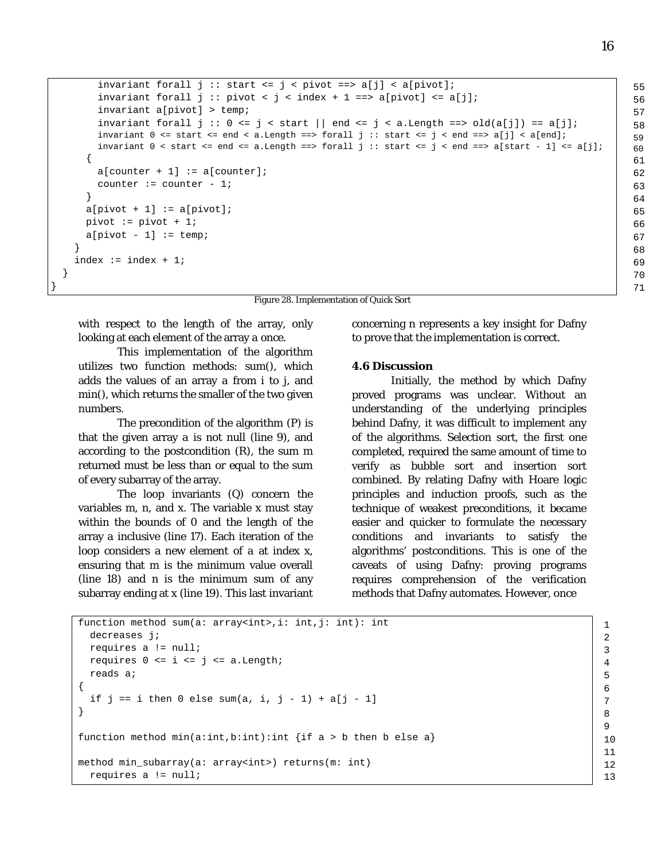16

```
 invariant forall j :: start <= j < pivot ==> a[j] < a[pivot];
    invariant forall j :: pivot < j < index + 1 ==> a[pivot] <= a[j];
     invariant a[pivot] > temp;
    invariant forall j :: 0 \le j \le start \mid \mid end \le j \le a. Length ==> old(a[j]) == a[j];
    invariant 0 \leq start \leq end \leq a. Length ==> forall j :: start \leq j \leq end ==> a[j] \leq a[end];
    invariant 0 < start \le end \le a. Length ==> forall j :: start \le j \le end ==> a[start - 1] \le a[j];
    a[counter + 1] := a[counter]; counter := counter - 1;
  a[pivot + 1] := a[pivot];pivot := pivot + 1;
  a[pivot - 1] := temp;index := index +1;
```
Figure 28. Implementation of Quick Sort

with respect to the length of the array, only looking at each element of the array *a* once.

 $\{$ 

}

 } }

}

This implementation of the algorithm utilizes two function methods: *sum()*, which adds the values of an array *a* from *i* to *j*, and *min()*, which returns the smaller of the two given numbers.

The precondition of the algorithm *(P)* is that the given array *a* is not null (line 9), and according to the postcondition *(R)*, the sum *m* returned must be less than or equal to the sum of every subarray of the array.

The loop invariants *(Q)* concern the variables *m, n,* and *x*. The variable *x* must stay within the bounds of 0 and the length of the array *a* inclusive (line 17). Each iteration of the loop considers a new element of *a* at index *x*, ensuring that *m* is the minimum value overall (line 18) and *n* is the minimum sum of any subarray ending at *x* (line 19). This last invariant concerning *n* represents a key insight for Dafny to prove that the implementation is correct.

#### **4.6 Discussion**

Initially, the method by which Dafny proved programs was unclear. Without an understanding of the underlying principles behind Dafny, it was difficult to implement any of the algorithms. Selection sort, the first one completed, required the same amount of time to verify as bubble sort and insertion sort combined. By relating Dafny with Hoare logic principles and induction proofs, such as the technique of weakest preconditions, it became easier and quicker to formulate the necessary conditions and invariants to satisfy the algorithms' postconditions. This is one of the caveats of using Dafny: proving programs requires comprehension of the verification methods that Dafny automates. However, once

```
function method sum(a: array<sub>i</sub>int, i: int, j: int): int
   decreases j;
   requires a != null;
 requires 0 \le i \le j \le a. Length;
   reads a;
{
  if j == i then 0 else sum(a, i, j - 1) + a[j - 1]
}
function method min(a:int,b:int):int {if a > b then b else a}
method min subarray(a: array<int>) returns(m: int)
   requires a != null;
```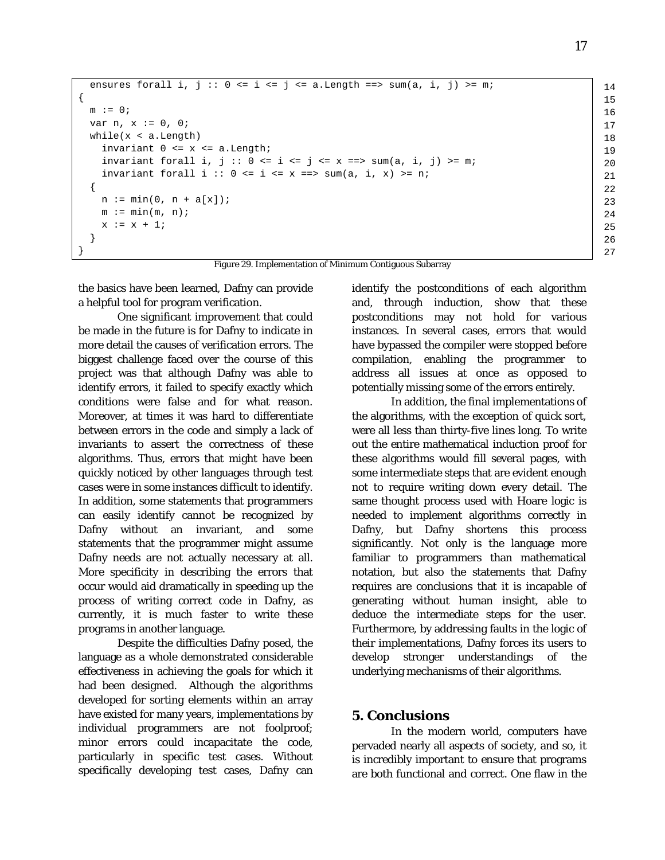```
ensures forall i, j : 0 \le i \le j \le a. Length ==> sum(a, i, j) >= m;
m : D : D : Dvar n, x := 0, 0;while(x < a.length)invariant 0 \leq x \leq a. Length;
  invariant forall i, j : 0 \le i \le j \le x == y \le m(a, i, j) == m;
  invariant forall i : 0 \le i \le x == > sum(a, i, x) >= n; {
  n := min(0, n + a[x]);
  m := min(m, n);x := x + 1; }
```
Figure 29. Implementation of Minimum Contiguous Subarray

the basics have been learned, Dafny can provide a helpful tool for program verification.

{

}

One significant improvement that could be made in the future is for Dafny to indicate in more detail the causes of verification errors. The biggest challenge faced over the course of this project was that although Dafny was able to identify errors, it failed to specify exactly which conditions were false and for what reason. Moreover, at times it was hard to differentiate between errors in the code and simply a lack of invariants to assert the correctness of these algorithms. Thus, errors that might have been quickly noticed by other languages through test cases were in some instances difficult to identify. In addition, some statements that programmers can easily identify cannot be recognized by Dafny without an invariant, and some statements that the programmer might assume Dafny needs are not actually necessary at all. More specificity in describing the errors that occur would aid dramatically in speeding up the process of writing correct code in Dafny, as currently, it is much faster to write these programs in another language.

Despite the difficulties Dafny posed, the language as a whole demonstrated considerable effectiveness in achieving the goals for which it had been designed. Although the algorithms developed for sorting elements within an array have existed for many years, implementations by individual programmers are not foolproof; minor errors could incapacitate the code, particularly in specific test cases. Without specifically developing test cases, Dafny can

identify the postconditions of each algorithm and, through induction, show that these postconditions may not hold for various instances. In several cases, errors that would have bypassed the compiler were stopped before compilation, enabling the programmer to address all issues at once as opposed to potentially missing some of the errors entirely.

In addition, the final implementations of the algorithms, with the exception of quick sort, were all less than thirty-five lines long. To write out the entire mathematical induction proof for these algorithms would fill several pages, with some intermediate steps that are evident enough not to require writing down every detail. The same thought process used with Hoare logic is needed to implement algorithms correctly in Dafny, but Dafny shortens this process significantly. Not only is the language more familiar to programmers than mathematical notation, but also the statements that Dafny requires are conclusions that it is incapable of generating without human insight, able to deduce the intermediate steps for the user. Furthermore, by addressing faults in the logic of their implementations, Dafny forces its users to develop stronger understandings of the underlying mechanisms of their algorithms.

# **5. Conclusions**

In the modern world, computers have pervaded nearly all aspects of society, and so, it is incredibly important to ensure that programs are both functional and correct. One flaw in the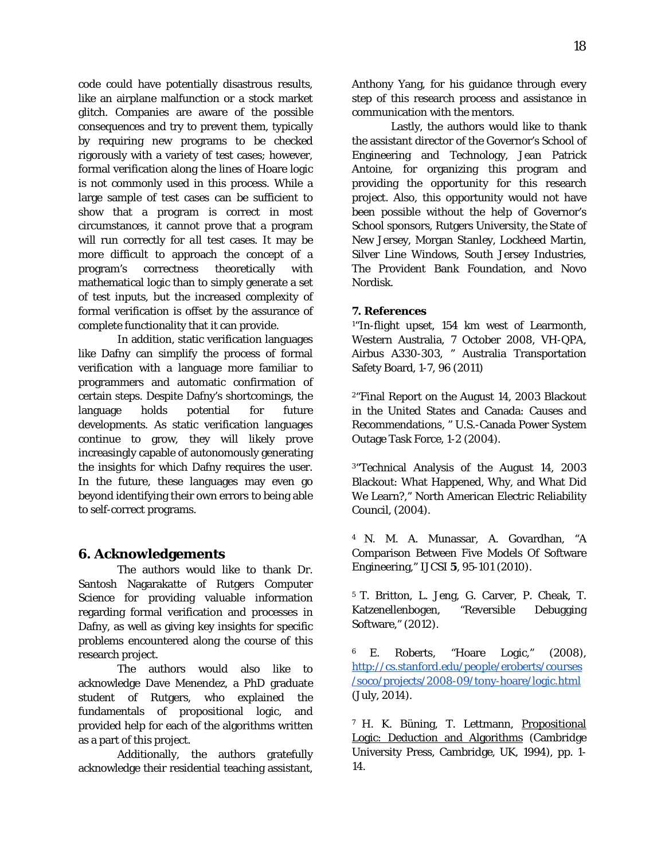code could have potentially disastrous results, like an airplane malfunction or a stock market glitch. Companies are aware of the possible consequences and try to prevent them, typically by requiring new programs to be checked rigorously with a variety of test cases; however, formal verification along the lines of Hoare logic is not commonly used in this process. While a large sample of test cases can be sufficient to show that a program is correct in most circumstances, it cannot prove that a program will run correctly for *all* test cases. It may be more difficult to approach the concept of a program's correctness theoretically with mathematical logic than to simply generate a set of test inputs, but the increased complexity of formal verification is offset by the assurance of complete functionality that it can provide.

In addition, static verification languages like Dafny can simplify the process of formal verification with a language more familiar to programmers and automatic confirmation of certain steps. Despite Dafny's shortcomings, the language holds potential for future developments. As static verification languages continue to grow, they will likely prove increasingly capable of autonomously generating the insights for which Dafny requires the user. In the future, these languages may even go beyond identifying their own errors to being able to self-correct programs.

# **6. Acknowledgements**

The authors would like to thank Dr. Santosh Nagarakatte of Rutgers Computer Science for providing valuable information regarding formal verification and processes in Dafny, as well as giving key insights for specific problems encountered along the course of this research project.

The authors would also like to acknowledge Dave Menendez, a PhD graduate student of Rutgers, who explained the fundamentals of propositional logic, and provided help for each of the algorithms written as a part of this project.

Additionally, the authors gratefully acknowledge their residential teaching assistant,

Anthony Yang, for his guidance through every step of this research process and assistance in communication with the mentors.

Lastly, the authors would like to thank the assistant director of the Governor's School of Engineering and Technology, Jean Patrick Antoine, for organizing this program and providing the opportunity for this research project. Also, this opportunity would not have been possible without the help of Governor's School sponsors, Rutgers University, the State of New Jersey, Morgan Stanley, Lockheed Martin, Silver Line Windows, South Jersey Industries, The Provident Bank Foundation, and Novo Nordisk.

# **7. References**

1"In-flight upset, 154 km west of Learmonth, Western Australia, 7 October 2008, VH-QPA, Airbus A330-303, " Australia Transportation Safety Board, 1-7, 96 (2011)

2"Final Report on the August 14, 2003 Blackout in the United States and Canada: Causes and Recommendations, " U.S.-Canada Power System Outage Task Force, 1-2 (2004).

3"Technical Analysis of the August 14, 2003 Blackout: What Happened, Why, and What Did We Learn?," North American Electric Reliability Council, (2004).

4 N. M. A. Munassar, A. Govardhan, "A Comparison Between Five Models Of Software Engineering," IJCSI **5**, 95-101 (2010).

5 T. Britton, L. Jeng, G. Carver, P. Cheak, T. Katzenellenbogen, "Reversible Debugging Software," (2012).

6 E. Roberts, "Hoare Logic," (2008), http://cs.stanford.edu/people/eroberts/courses /soco/projects/2008-09/tony-hoare/logic.html (July, 2014).

<sup>7</sup> H. K. Büning, T. Lettmann, Propositional Logic: Deduction and Algorithms (Cambridge University Press, Cambridge, UK, 1994), pp. 1- 14.